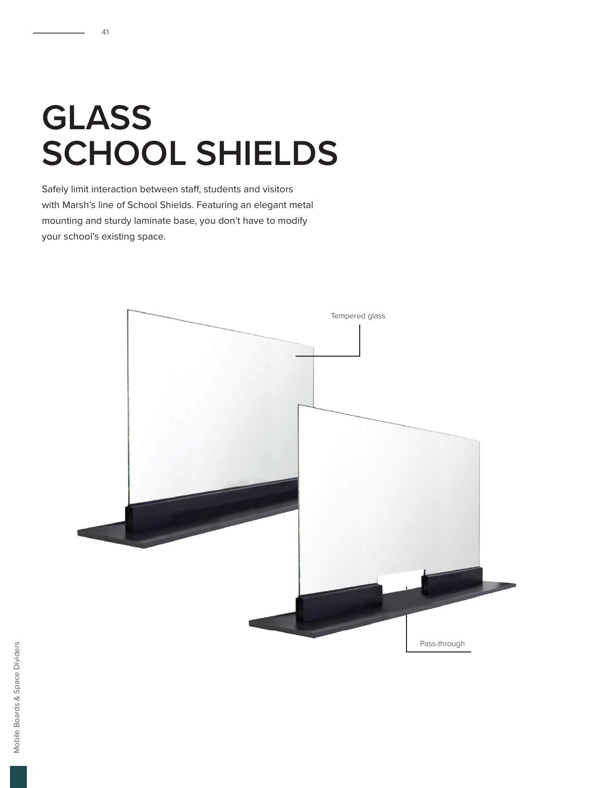## **GLASS SCHOOL SHIELDS**

41

Safely limit interaction between staff, students and visitors with Marsh's line of School Shields. Featuring an elegant metal mounting and sturdy laminate base, you don't have to modify your school's existing space.